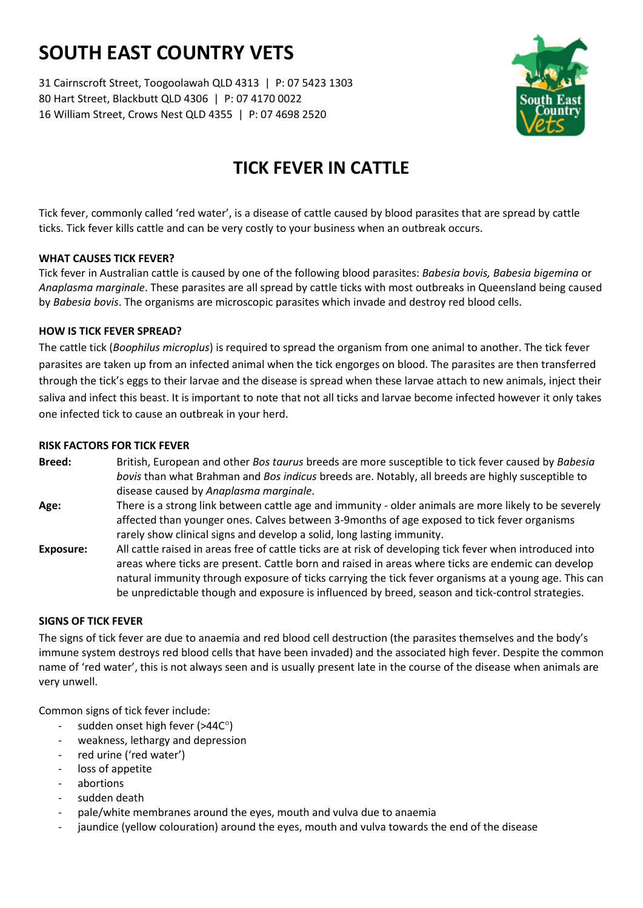# **SOUTH EAST COUNTRY VETS**

31 Cairnscroft Street, Toogoolawah QLD 4313 | P: 07 5423 1303 80 Hart Street, Blackbutt QLD 4306 | P: 07 4170 0022 16 William Street, Crows Nest QLD 4355 | P: 07 4698 2520



# **TICK FEVER IN CATTLE**

Tick fever, commonly called 'red water', is a disease of cattle caused by blood parasites that are spread by cattle ticks. Tick fever kills cattle and can be very costly to your business when an outbreak occurs.

# **WHAT CAUSES TICK FEVER?**

Tick fever in Australian cattle is caused by one of the following blood parasites: *Babesia bovis, Babesia bigemina* or *Anaplasma marginale*. These parasites are all spread by cattle ticks with most outbreaks in Queensland being caused by *Babesia bovis*. The organisms are microscopic parasites which invade and destroy red blood cells.

# **HOW IS TICK FEVER SPREAD?**

The cattle tick (*Boophilus microplus*) is required to spread the organism from one animal to another. The tick fever parasites are taken up from an infected animal when the tick engorges on blood. The parasites are then transferred through the tick's eggs to their larvae and the disease is spread when these larvae attach to new animals, inject their saliva and infect this beast. It is important to note that not all ticks and larvae become infected however it only takes one infected tick to cause an outbreak in your herd.

#### **RISK FACTORS FOR TICK FEVER**

- **Breed:** British, European and other *Bos taurus* breeds are more susceptible to tick fever caused by *Babesia bovis* than what Brahman and *Bos indicus* breeds are. Notably, all breeds are highly susceptible to disease caused by *Anaplasma marginale*.
- **Age:** There is a strong link between cattle age and immunity older animals are more likely to be severely affected than younger ones. Calves between 3-9months of age exposed to tick fever organisms rarely show clinical signs and develop a solid, long lasting immunity.
- **Exposure:** All cattle raised in areas free of cattle ticks are at risk of developing tick fever when introduced into areas where ticks are present. Cattle born and raised in areas where ticks are endemic can develop natural immunity through exposure of ticks carrying the tick fever organisms at a young age. This can be unpredictable though and exposure is influenced by breed, season and tick-control strategies.

# **SIGNS OF TICK FEVER**

The signs of tick fever are due to anaemia and red blood cell destruction (the parasites themselves and the body's immune system destroys red blood cells that have been invaded) and the associated high fever. Despite the common name of 'red water', this is not always seen and is usually present late in the course of the disease when animals are very unwell.

Common signs of tick fever include:

- sudden onset high fever ( $>44C^{\circ}$ )
- weakness, lethargy and depression
- red urine ('red water')
- loss of appetite
- abortions
- sudden death
- pale/white membranes around the eyes, mouth and vulva due to anaemia
- jaundice (yellow colouration) around the eyes, mouth and vulva towards the end of the disease